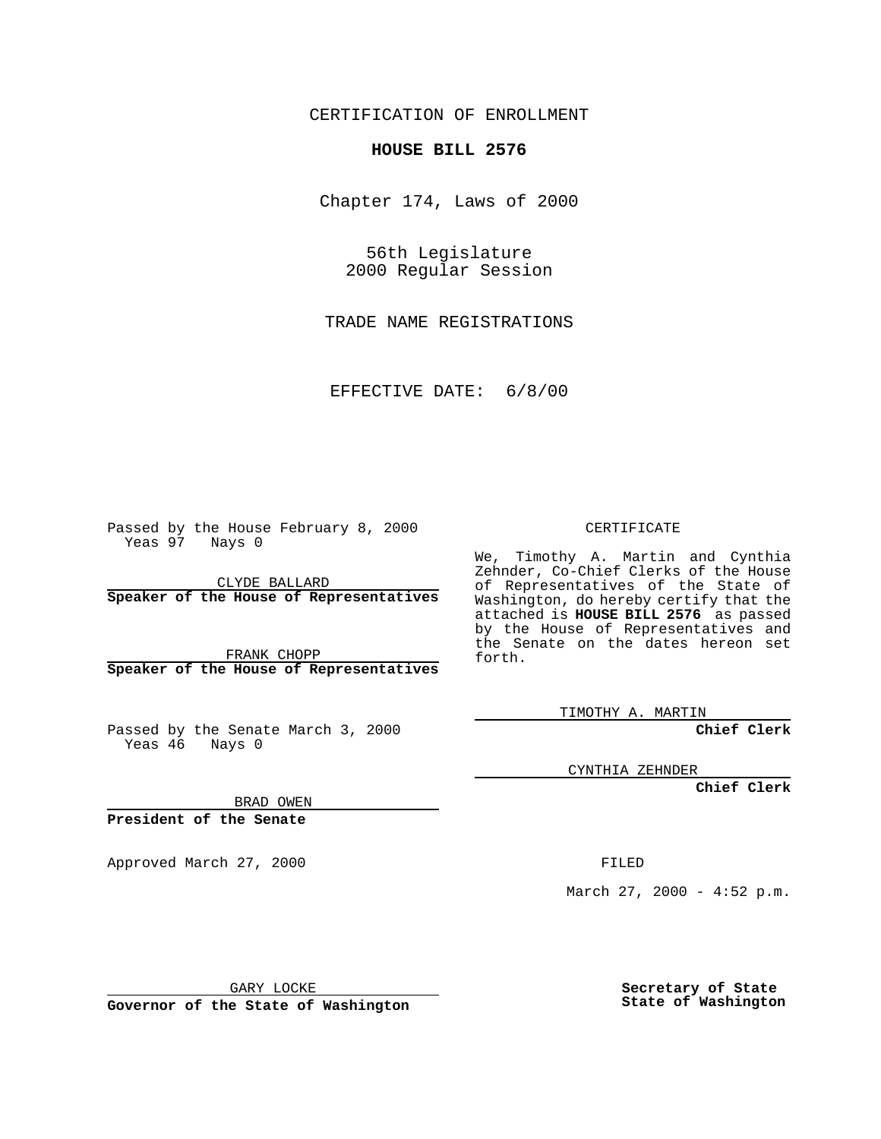CERTIFICATION OF ENROLLMENT

## **HOUSE BILL 2576**

Chapter 174, Laws of 2000

56th Legislature 2000 Regular Session

TRADE NAME REGISTRATIONS

EFFECTIVE DATE: 6/8/00

Passed by the House February 8, 2000 Yeas 97 Nays 0

CLYDE BALLARD **Speaker of the House of Representatives**

FRANK CHOPP **Speaker of the House of Representatives**

Passed by the Senate March 3, 2000 Yeas 46 Nays 0

CERTIFICATE

We, Timothy A. Martin and Cynthia Zehnder, Co-Chief Clerks of the House of Representatives of the State of Washington, do hereby certify that the attached is **HOUSE BILL 2576** as passed by the House of Representatives and the Senate on the dates hereon set forth.

TIMOTHY A. MARTIN

**Chief Clerk**

CYNTHIA ZEHNDER

**Chief Clerk**

BRAD OWEN

**President of the Senate**

Approved March 27, 2000 FILED

March 27, 2000 - 4:52 p.m.

GARY LOCKE

**Governor of the State of Washington**

**Secretary of State State of Washington**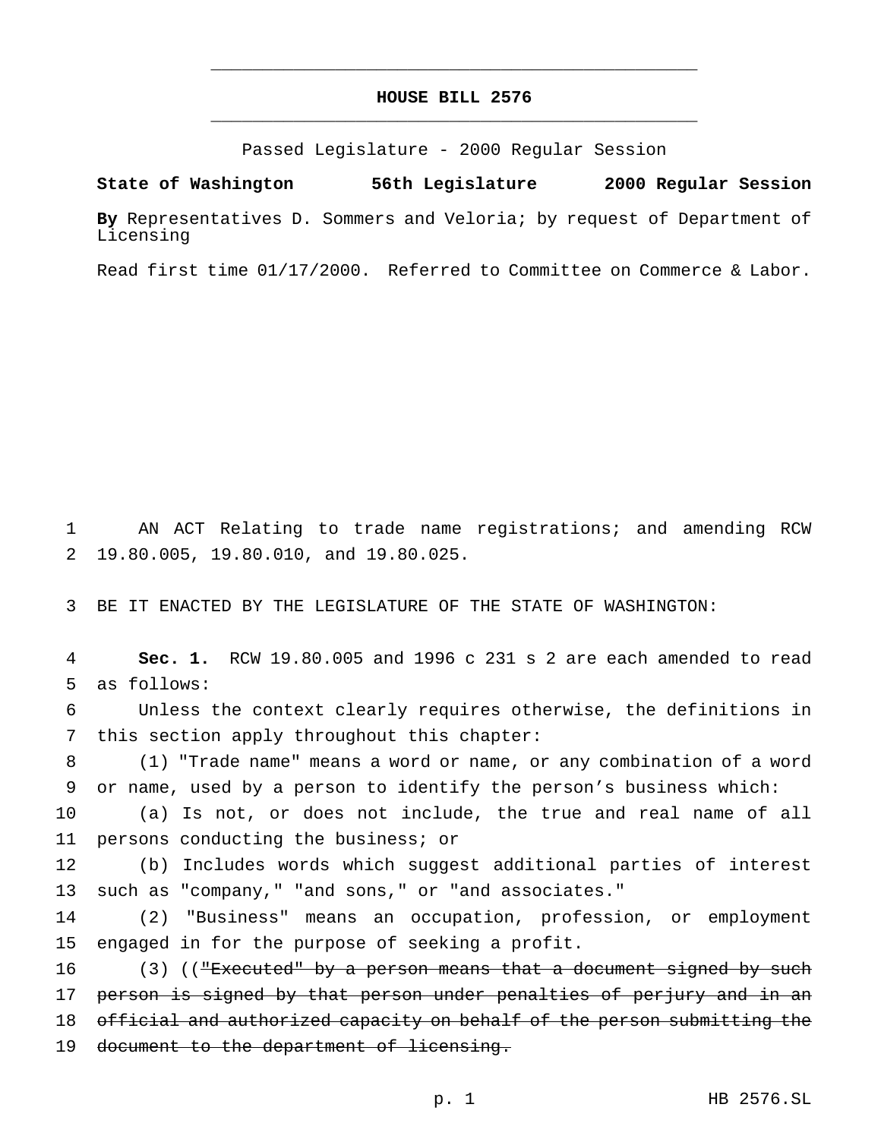## **HOUSE BILL 2576** \_\_\_\_\_\_\_\_\_\_\_\_\_\_\_\_\_\_\_\_\_\_\_\_\_\_\_\_\_\_\_\_\_\_\_\_\_\_\_\_\_\_\_\_\_\_\_

\_\_\_\_\_\_\_\_\_\_\_\_\_\_\_\_\_\_\_\_\_\_\_\_\_\_\_\_\_\_\_\_\_\_\_\_\_\_\_\_\_\_\_\_\_\_\_

Passed Legislature - 2000 Regular Session

**State of Washington 56th Legislature 2000 Regular Session**

**By** Representatives D. Sommers and Veloria; by request of Department of Licensing

Read first time 01/17/2000. Referred to Committee on Commerce & Labor.

1 AN ACT Relating to trade name registrations; and amending RCW 2 19.80.005, 19.80.010, and 19.80.025.

3 BE IT ENACTED BY THE LEGISLATURE OF THE STATE OF WASHINGTON:

4 **Sec. 1.** RCW 19.80.005 and 1996 c 231 s 2 are each amended to read 5 as follows:

6 Unless the context clearly requires otherwise, the definitions in 7 this section apply throughout this chapter:

8 (1) "Trade name" means a word or name, or any combination of a word 9 or name, used by a person to identify the person's business which:

10 (a) Is not, or does not include, the true and real name of all 11 persons conducting the business; or

12 (b) Includes words which suggest additional parties of interest 13 such as "company," "and sons," or "and associates."

14 (2) "Business" means an occupation, profession, or employment 15 engaged in for the purpose of seeking a profit.

16 (3) (("Executed" by a person means that a document signed by such 17 person is signed by that person under penalties of perjury and in an 18 official and authorized capacity on behalf of the person submitting the 19 document to the department of licensing.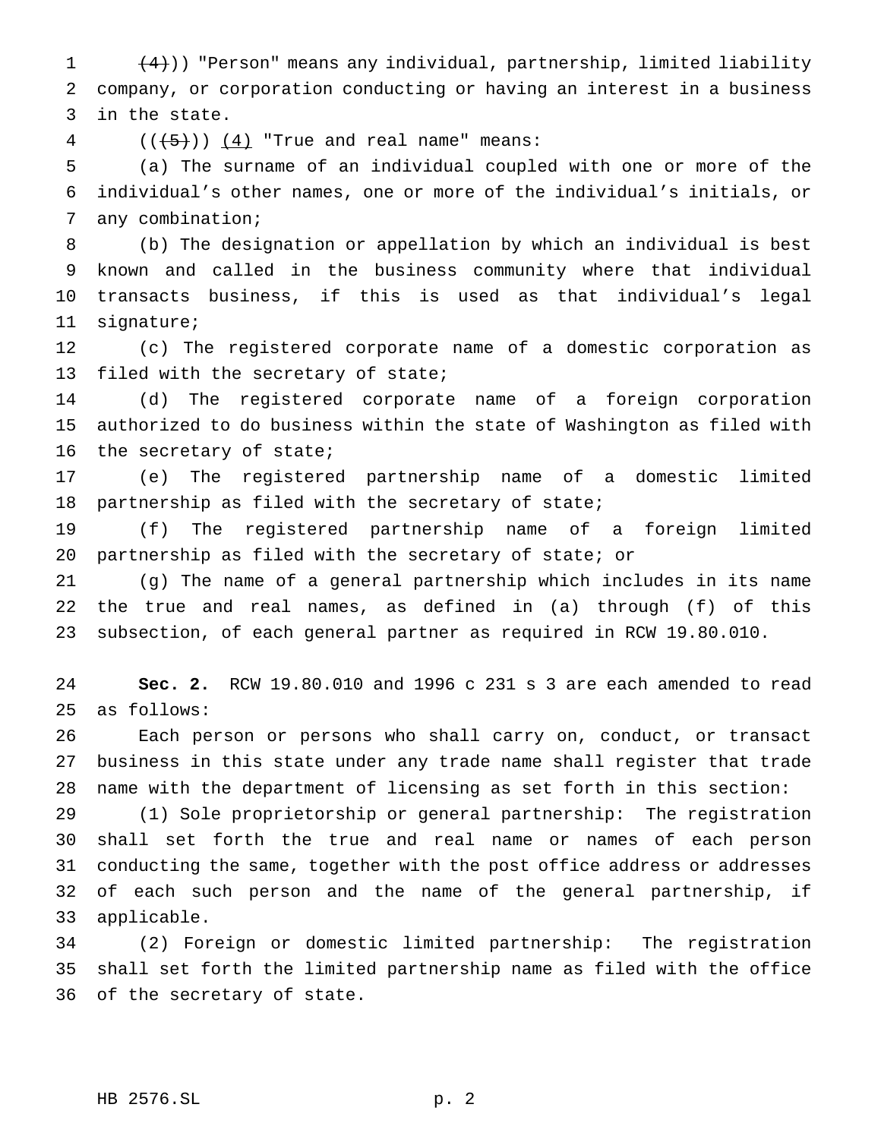1  $(4)$ )) "Person" means any individual, partnership, limited liability company, or corporation conducting or having an interest in a business in the state.

 $((+5))$   $(4)$  "True and real name" means:

 (a) The surname of an individual coupled with one or more of the individual's other names, one or more of the individual's initials, or any combination;

 (b) The designation or appellation by which an individual is best known and called in the business community where that individual transacts business, if this is used as that individual's legal signature;

 (c) The registered corporate name of a domestic corporation as filed with the secretary of state;

 (d) The registered corporate name of a foreign corporation authorized to do business within the state of Washington as filed with the secretary of state;

 (e) The registered partnership name of a domestic limited partnership as filed with the secretary of state;

 (f) The registered partnership name of a foreign limited partnership as filed with the secretary of state; or

 (g) The name of a general partnership which includes in its name the true and real names, as defined in (a) through (f) of this subsection, of each general partner as required in RCW 19.80.010.

 **Sec. 2.** RCW 19.80.010 and 1996 c 231 s 3 are each amended to read as follows:

 Each person or persons who shall carry on, conduct, or transact business in this state under any trade name shall register that trade name with the department of licensing as set forth in this section:

 (1) Sole proprietorship or general partnership: The registration shall set forth the true and real name or names of each person conducting the same, together with the post office address or addresses of each such person and the name of the general partnership, if applicable.

 (2) Foreign or domestic limited partnership: The registration shall set forth the limited partnership name as filed with the office of the secretary of state.